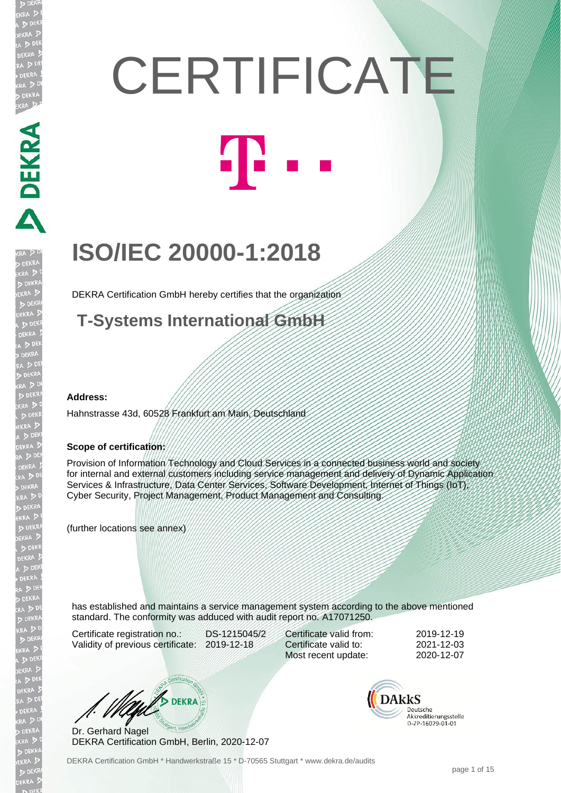# **CERTIFICATE T**

## **ISO/IEC 20000-1:2018**

DEKRA Certification GmbH hereby certifies that the organization

**T-Systems International GmbH**

#### **Address:**

PEKRA PEKRA

EKR

D

Hahnstrasse 43d, 60528 Frankfurt am Main, Deutschland

#### **Scope of certification:**

Provision of Information Technology and Cloud Services in a connected business world and society for internal and external customers including service management and delivery of Dynamic Application Services & Infrastructure, Data Center Services, Software Development, Internet of Things (IoT), Cyber Security, Project Management, Product Management and Consulting.

(further locations see annex)

has established and maintains a service management system according to the above mentioned standard. The conformity was adduced with audit report no. A17071250.

Certificate registration no.: DS-1215045/2 Validity of previous certificate: 2019-12-18

Certificate valid from: 2019-12-19 Certificate valid to: 2021-12-03 Most recent update: 2020-12-07

 $\mathcal{L}$  DEKRA

Dr. Gerhard Nagel DEKRA Certification GmbH, Berlin, 2020-12-07 **DAkkS** Deutsche Akkreditierungsstelle D-ZP-16029-01-01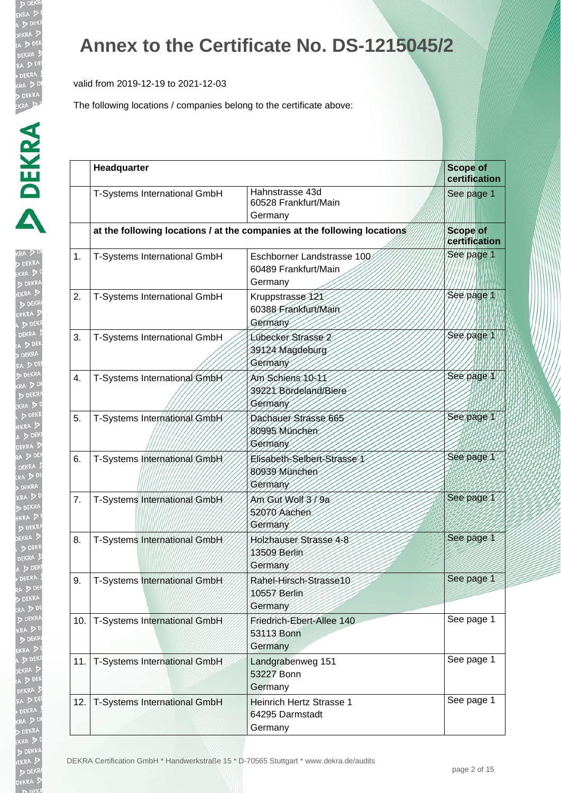valid from 2019-12-19 to 2021-12-03

| ĺ<br>r.<br>j             |
|--------------------------|
|                          |
|                          |
| ļ                        |
|                          |
|                          |
| $\frac{1}{2}$            |
| $\frac{1}{2}$            |
|                          |
| EKR<br>DI<br>DEKR<br>DEK |
|                          |
|                          |
|                          |
|                          |
|                          |
|                          |
| $\ddot{\phantom{a}}$     |
|                          |
|                          |
| الا<br>ول                |
|                          |
| 3                        |
|                          |
|                          |
|                          |
|                          |
|                          |
|                          |
|                          |
| į                        |
| $\frac{1}{2}$            |
|                          |
|                          |
|                          |
|                          |
|                          |
|                          |
|                          |
|                          |
|                          |
| ĵ                        |
|                          |
|                          |
|                          |
| ļ                        |
|                          |
|                          |
|                          |
|                          |
|                          |
|                          |
|                          |
|                          |

|     | Headquarter                  |                                                                          | <b>Scope of</b><br>certification |
|-----|------------------------------|--------------------------------------------------------------------------|----------------------------------|
|     | T-Systems International GmbH | Hahnstrasse 43d<br>60528 Frankfurt/Main<br>Germany                       | See page 1                       |
|     |                              | at the following locations / at the companies at the following locations | <b>Scope of</b><br>certification |
| 1.  | T-Systems International GmbH | Eschborner Landstrasse 100<br>60489 Frankfurt/Main<br>Germany            | See page 1                       |
| 2.  | T-Systems International GmbH | Kruppstrasse 121<br>60388 Frankfurt/Main<br>Germany                      | See page 1                       |
| 3.  | T-Systems International GmbH | Lübecker Strasse 2<br>39124 Magdeburg<br>Germany                         | See page 1                       |
| 4.  | T-Systems International GmbH | Am Schiens 10-11<br>39221 Bördeland/Biere<br>Germany                     | See page 1                       |
| 5.  | T-Systems International GmbH | Dachauer Strasse 665<br>80995 München<br>Germany                         | See page 1                       |
| 6.  | T-Systems International GmbH | Elisabeth-Selbert-Strasse<br>80939 München<br>Germany                    | See page 1                       |
| 7.  | T-Systems International GmbH | Am Gut Wolf 3/9a<br>52070 Aachen<br>Germany                              | See page 1                       |
| 8.  | T-Systems International GmbH | Holzhauser Strasse 4-8<br>13509 Berlin<br>Germany                        | See page 1                       |
| 9.  | T-Systems International GmbH | Rahel-Hirsch-Strasse10<br>10557 Berlin<br>Germany                        | See page 1                       |
| 10. | T-Systems International GmbH | Friedrich-Ebert-Allee 140<br>53113 Bonn<br>Germany                       | See page 1                       |
| 11. | T-Systems International GmbH | Landgrabenweg 151<br>53227 Bonn<br>Germany                               | See page 1                       |
| 12. | T-Systems International GmbH | Heinrich Hertz Strasse 1<br>64295 Darmstadt<br>Germany                   | See page 1                       |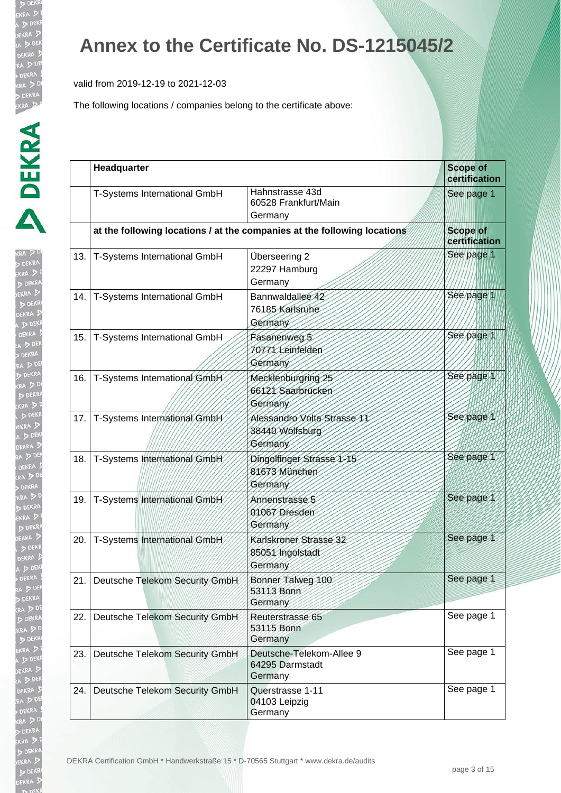valid from 2019-12-19 to 2021-12-03

| Į |
|---|
| 4 |
| ١ |
|   |
|   |
|   |
|   |
|   |
|   |
|   |

|     | Headquarter                        |                                                                          | <b>Scope of</b><br>certification |
|-----|------------------------------------|--------------------------------------------------------------------------|----------------------------------|
|     | T-Systems International GmbH       | Hahnstrasse 43d<br>60528 Frankfurt/Main<br>Germany                       | See page 1                       |
|     |                                    | at the following locations / at the companies at the following locations | <b>Scope of</b><br>certification |
| 13. | T-Systems International GmbH       | Überseering 2<br>22297 Hamburg<br>Germany                                | See page 1                       |
| 14. | T-Systems International GmbH       | Bannwaldallee 42<br>76185 Karlsruhe<br>Germany                           | See page 1                       |
| 15. | T-Systems International GmbH       | Fasanenweg 5<br>70771 Leinfelden<br>Germany                              | See page 1                       |
| 16. | T-Systems International GmbH       | Mecklenburgring 25<br>66121 Saarbrücken<br>Germany                       | See page 1                       |
| 17. | T-Systems International GmbH       | Alessandro Volta Strasse 11<br>38440 Wolfsburg<br>Germany                | See page 1                       |
| 18. | T-Systems International GmbH       | Dingolfinger Strasse 1-15<br>81673 München<br>Germany                    | See page 1                       |
| 19. | T-Systems International GmbH       | Annenstrasse 5<br>01067 Dresden<br>Germany                               | See page 1                       |
| 20. | T-Systems International GmbH       | Karlskroner Strasse 32<br>85051 Ingolstadt<br>Germany                    | See page 1                       |
|     | 21. Deutsche Telekom Security GmbH | Bonner Talweg 100<br>53113 Bonn<br>Germany                               | See page 1                       |
| 22. | Deutsche Telekom Security GmbH     | Reuterstrasse 65<br>53115 Bonn<br>Germany                                | See page 1                       |
| 23. | Deutsche Telekom Security GmbH     | Deutsche-Telekom-Allee 9<br>64295 Darmstadt<br>Germany                   | See page 1                       |
| 24. | Deutsche Telekom Security GmbH     | Querstrasse 1-11<br>04103 Leipzig<br>Germany                             | See page 1                       |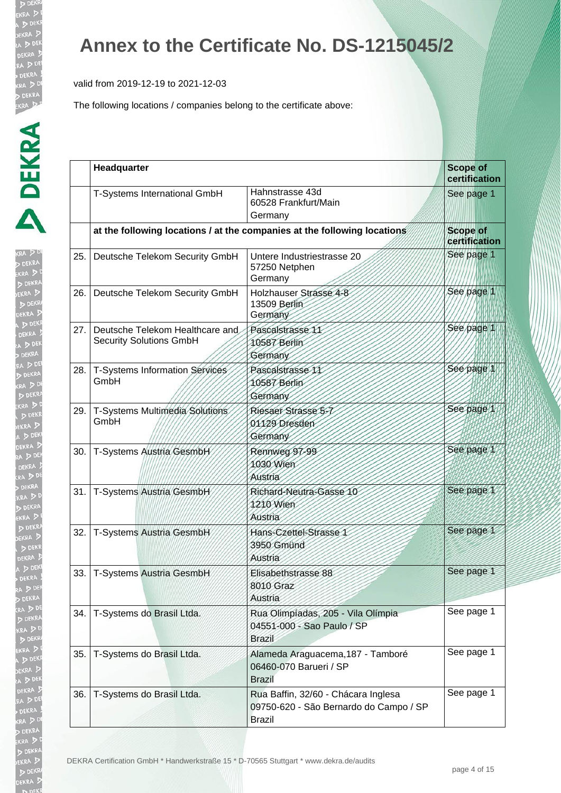valid from 2019-12-19 to 2021-12-03

| ŀ<br>RA .     |
|---------------|
|               |
|               |
|               |
|               |
|               |
|               |
|               |
|               |
|               |
|               |
|               |
|               |
| $\frac{1}{2}$ |
|               |
|               |
|               |
|               |
| Z             |
|               |
|               |
| į             |
|               |
|               |
| e<br>D        |
|               |
|               |
|               |
|               |
|               |
|               |
|               |
|               |
|               |
|               |
|               |
|               |
|               |
|               |
|               |
|               |
|               |
|               |
|               |
|               |
|               |
|               |
|               |
|               |
|               |
|               |
|               |
|               |
|               |
|               |
|               |

|      | Headquarter                                                       |                                                                                                | <b>Scope of</b><br>certification |
|------|-------------------------------------------------------------------|------------------------------------------------------------------------------------------------|----------------------------------|
|      | T-Systems International GmbH                                      | Hahnstrasse 43d<br>60528 Frankfurt/Main<br>Germany                                             | See page 1                       |
|      |                                                                   | at the following locations / at the companies at the following locations                       | <b>Scope of</b><br>certification |
| 25.  | Deutsche Telekom Security GmbH                                    | Untere Industriestrasse 20<br>57250 Netphen<br>Germany                                         | See page 1                       |
| 26.  | Deutsche Telekom Security GmbH                                    | Holzhauser Strasse 4-8<br>13509 Berlin<br>Germany                                              | See page 1                       |
| 27.  | Deutsche Telekom Healthcare and<br><b>Security Solutions GmbH</b> | Pascalstrasse 11<br>10587 Berlin<br>Germany                                                    | See page 1                       |
| 28.  | T-Systems Information Services<br>GmbH                            | Pascalstrasse 11<br>10587 Berlin<br>Germany                                                    | See page 1                       |
| 29.  | T-Systems Multimedia Solutions<br>GmbH                            | Riesaer Strasse 5-7<br>01129 Dresden<br>Germany                                                | See page 1                       |
| 30.  | T-Systems Austria GesmbH                                          | Rennweg 97-99<br>1030 Wien<br>Austria                                                          | See page 1                       |
| 31.1 | T-Systems Austria GesmbH                                          | Richard-Neutra-Gasse 10<br>1210 Wien<br>Austria                                                | See page 1                       |
| 32.  | T-Systems Austria GesmbH                                          | Hans-Czettel-Strasse 1<br>3950 Gmünd<br>Austria                                                | See page 1                       |
|      | 33.   T-Systems Austria GesmbH                                    | Elisabethstrasse 88<br>8010 Graz<br>Austria                                                    | See page 1                       |
| 34.  | T-Systems do Brasil Ltda.                                         | Rua Olimpiadas, 205 - Vila Olímpia<br>04551-000 - Sao Paulo / SP<br><b>Brazil</b>              | See page 1                       |
| 35.  | T-Systems do Brasil Ltda.                                         | Alameda Araguacema, 187 - Tamboré<br>06460-070 Barueri / SP<br><b>Brazil</b>                   | See page 1                       |
| 36.  | T-Systems do Brasil Ltda.                                         | Rua Baffin, 32/60 - Chácara Inglesa<br>09750-620 - São Bernardo do Campo / SP<br><b>Brazil</b> | See page 1                       |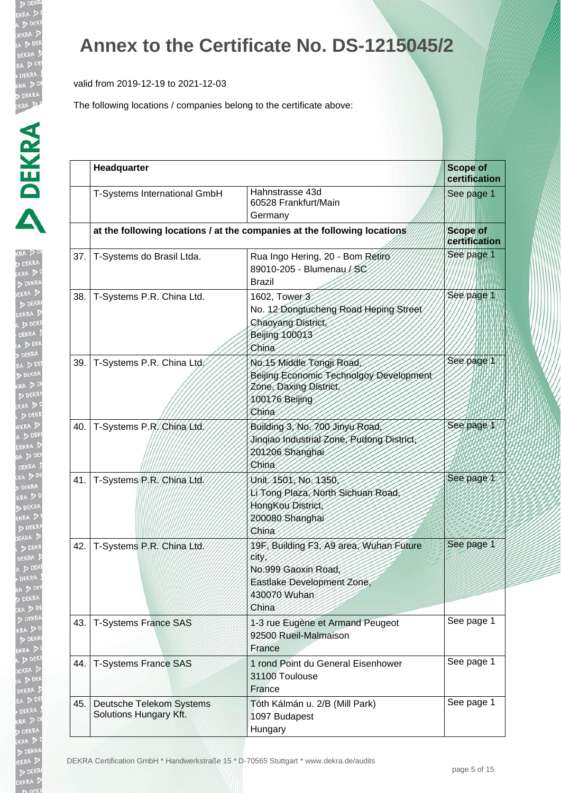valid from 2019-12-19 to 2021-12-03

| ĺ                              |
|--------------------------------|
| l                              |
|                                |
|                                |
|                                |
|                                |
|                                |
|                                |
| I                              |
| $\frac{1}{2}$<br>$\frac{1}{2}$ |
| j<br><b>D</b><br>EK            |
|                                |
| j                              |
|                                |
| h                              |
|                                |
|                                |
|                                |
| $\frac{1}{2}$                  |
|                                |
|                                |
| j                              |
| j                              |
|                                |
| $\frac{1}{2}$                  |
| Ì<br>ļ                         |
| J                              |
|                                |
|                                |
|                                |
|                                |
|                                |
|                                |
| $\frac{1}{x}$                  |
|                                |
|                                |
|                                |
|                                |
|                                |
|                                |
|                                |
|                                |
|                                |
|                                |
|                                |
|                                |
|                                |
|                                |
|                                |
|                                |
|                                |
|                                |
|                                |
|                                |
|                                |
|                                |
|                                |

|     | Headquarter                                        |                                                                                                                                      | <b>Scope of</b><br>certification |
|-----|----------------------------------------------------|--------------------------------------------------------------------------------------------------------------------------------------|----------------------------------|
|     | T-Systems International GmbH                       | Hahnstrasse 43d<br>60528 Frankfurt/Main<br>Germany                                                                                   | See page 1                       |
|     |                                                    | at the following locations / at the companies at the following locations                                                             | <b>Scope of</b><br>certification |
| 37. | T-Systems do Brasil Ltda.                          | Rua Ingo Hering, 20 - Bom Retiro<br>89010-205 - Blumenau / SC<br>Brazil                                                              | See page 1                       |
| 38. | T-Systems P.R. China Ltd.                          | 1602, Tower 3<br>No. 12 Dongtucheng Road Heping Street<br><b>Chaoyang District</b><br><b>Beijing 100013</b><br>China                 | See page 1                       |
| 39. | T-Systems P.R. China Ltd.                          | No.15 Middle Tongji Road,<br>Beijing Economic Technolgoy Development<br>Zone, Daxing District,<br>100176 Beijing<br>China            | See page 1                       |
| 40. | T-Systems P.R. China Ltd.                          | Building 3, No. 700 Jinyu Road,<br>Jingiao Industrial Zone, Pudong District,<br>201206 Shanghai<br>China                             | See page 1                       |
| 41. | T-Systems P.R. China Ltd.                          | Unit 1501, No. 1350,<br>Li Tong Plaza, North Sichuan Road,<br>HongKou District,<br>200080 Shanghai<br>China                          | See page 1                       |
| 42. | T-Systems P.R. China Ltd.                          | 19F, Building F3, A9 area, Wuhan Future<br><b>City</b><br>No.999 Gaoxin Road,<br>Eastlake Development Zone,<br>430070 Wuhan<br>China | See page 1                       |
| 43. | <b>T-Systems France SAS</b>                        | 1-3 rue Eugène et Armand Peugeot<br>92500 Rueil-Malmaison<br>France                                                                  | See page 1                       |
| 44. | <b>T-Systems France SAS</b>                        | 1 rond Point du General Eisenhower<br>31100 Toulouse<br>France                                                                       | See page 1                       |
| 45. | Deutsche Telekom Systems<br>Solutions Hungary Kft. | Tóth Kálmán u. 2/B (Mill Park)<br>1097 Budapest<br>Hungary                                                                           | See page 1                       |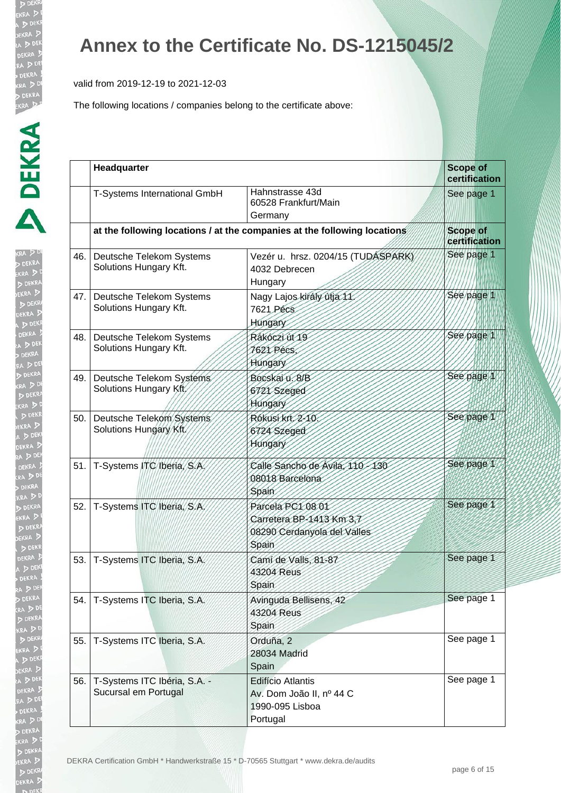valid from 2019-12-19 to 2021-12-03

| $\frac{1}{2}$ |
|---------------|
|               |
|               |
|               |
|               |
|               |
|               |
|               |
|               |
|               |
|               |
|               |
|               |
|               |
|               |
|               |
|               |
|               |
|               |
|               |
|               |
|               |
|               |
|               |
|               |
|               |
|               |
|               |
|               |
|               |
|               |
|               |
|               |
|               |

|     | Headquarter                                          |                                                                                       | <b>Scope of</b><br>certification |
|-----|------------------------------------------------------|---------------------------------------------------------------------------------------|----------------------------------|
|     | T-Systems International GmbH                         | Hahnstrasse 43d<br>60528 Frankfurt/Main<br>Germany                                    | See page 1                       |
|     |                                                      | at the following locations / at the companies at the following locations              | <b>Scope of</b><br>certification |
| 46. | Deutsche Telekom Systems<br>Solutions Hungary Kft.   | Vezér u. hrsz. 0204/15 (TUDÁSPARK)<br>4032 Debrecen<br>Hungary                        | See page 1                       |
| 47. | Deutsche Telekom Systems<br>Solutions Hungary Kft.   | Nagy Lajos király útja 11.<br>7621 Pécs<br><b>Hungary</b>                             | See page 1                       |
| 48. | Deutsche Telekom Systems<br>Solutions Hungary Kft.   | Rákóczi út 19<br><b>7621 Pécs</b><br>Hungary                                          | See page 1                       |
| 49. | Deutsche Telekom Systems<br>Solutions Hungary Kft    | Bocskai u. 8/B<br>6721 Szeged<br>Hungary                                              | See page 1                       |
| 50. | Deutsche Telekom Systems<br>Solutions Hungary Kft.   | Rókusikrt 2-10<br>6724 Szeged<br>Hungary                                              | See page 1                       |
| 51. | T-Systems ITC Iberia, S.A.                           | Calle Sancho de Avila, 110-130<br>08018 Barcelona<br>Spain                            | See page 1                       |
| 52. | T-Systems ITC Iberia, S.A.                           | Parcela PC1 08 01<br>Carretera BP-1413 Km 3,7<br>08290 Cerdanyola del Valles<br>Spain | See page 1                       |
| 53. | T-Systems ITC Iberia, S.A.                           | Cami de Valls, 81-87<br>43204 Reus<br>Spain                                           | See page 1                       |
| 54. | T-Systems ITC Iberia, S.A.                           | Avinguda Bellisens, 42<br>43204 Reus<br>Spain                                         | See page 1                       |
| 55. | T-Systems ITC Iberia, S.A.                           | Orduña, 2<br>28034 Madrid<br>Spain                                                    | See page 1                       |
| 56. | T-Systems ITC Ibéria, S.A. -<br>Sucursal em Portugal | <b>Edifício Atlantis</b><br>Av. Dom João II, nº 44 C<br>1990-095 Lisboa<br>Portugal   | See page 1                       |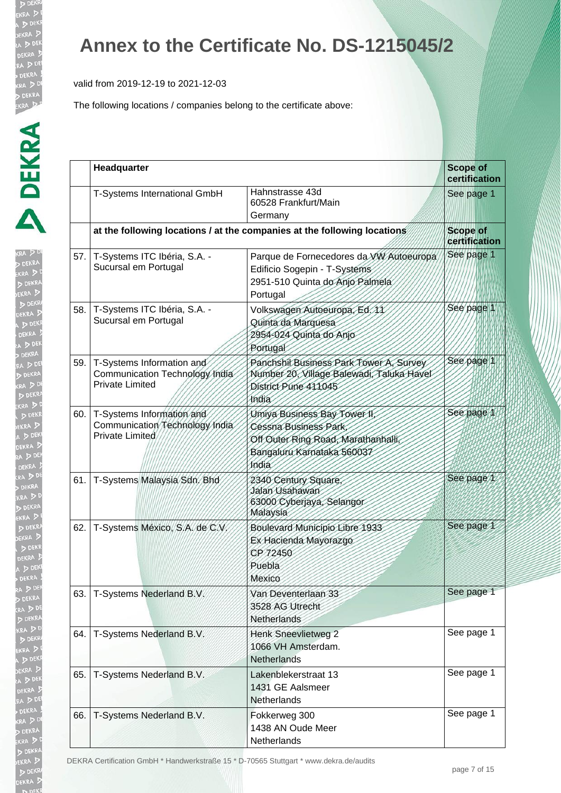valid from 2019-12-19 to 2021-12-03

The following locations / companies belong to the certificate above:

| I.                         |
|----------------------------|
| A,<br>(R)                  |
|                            |
| Ì                          |
|                            |
|                            |
|                            |
|                            |
| <b>KR</b><br>P<br>EK!<br>l |
|                            |
|                            |
|                            |
| D                          |
|                            |
|                            |
|                            |
| $\frac{1}{2}$              |
|                            |
|                            |
|                            |
|                            |
|                            |
|                            |
|                            |
| ו<br>וואס                  |
|                            |
| $\ddot{\bm{x}}$            |
|                            |
|                            |
|                            |
|                            |
|                            |
|                            |
|                            |
|                            |
|                            |
|                            |
|                            |
|                            |
|                            |
|                            |
|                            |
|                            |
|                            |
|                            |
|                            |
|                            |
|                            |
|                            |
|                            |
|                            |
|                            |
|                            |
|                            |

|     | Headquarter                                                                           |                                                                                                                                                  | <b>Scope of</b><br>certification |  |
|-----|---------------------------------------------------------------------------------------|--------------------------------------------------------------------------------------------------------------------------------------------------|----------------------------------|--|
|     | T-Systems International GmbH                                                          | Hahnstrasse 43d<br>60528 Frankfurt/Main<br>Germany                                                                                               | See page 1                       |  |
|     |                                                                                       | at the following locations / at the companies at the following locations                                                                         | <b>Scope of</b><br>certification |  |
|     | 57.   T-Systems ITC Ibéria, S.A. -<br>Sucursal em Portugal                            | Parque de Fornecedores da VW Autoeuropa<br>Edificio Sogepin - T-Systems<br>2951-510 Quinta do Anjo Palmela<br>Portugal                           | See page 1                       |  |
| 58. | T-Systems ITC Ibéria, S.A. -<br>Sucursal em Portugal                                  | Volkswagen Autoeuropa, Ed. 11<br>Quinta da Marquesa<br>2954-024 Quinta do Anjo<br>Portugal                                                       | See page 1                       |  |
| 59. | T-Systems Information and<br>Communication Technology India<br><b>Private Limited</b> | Panchshil Business Park Tower A, Survey<br>Number 20, Village Balewadi, Taluka Havel<br>District Pune 411045<br>motia                            | See page 1                       |  |
|     | 60. T-Systems Information and<br>Communication Technology India<br>Private Limited    | Umiya Business Bay Tower II,<br>Cessna Business Park<br>Off Outer Ring Road, Marathanhalli,<br>Bangaluru Karnataka 560037<br><i><b>India</b></i> | See page 1                       |  |
| 61. | T-Systems Malaysia Sdn. Bhd                                                           | 2340 Century Square,<br>Jalan Usahawan<br>63000 Cyberjaya, Selangor<br>Malaysia                                                                  | See page 1                       |  |
| 62. | T-Systems México, S.A. de C.V.                                                        | Boulevard Municipio Libre 1933<br>Ex Hacienda Mayorazgo<br>CP 72450<br>Puebla<br>Mexico                                                          | See page 1                       |  |
| 63. | T-Systems Nederland B.V.                                                              | Van Deventerlaan 33<br>3528 AG Utrecht<br>Netherlands                                                                                            | See page 1                       |  |
| 64. | T-Systems Nederland B.V.                                                              | Henk Sneevlietweg 2<br>1066 VH Amsterdam.<br>Netherlands                                                                                         | See page 1                       |  |
| 65. | T-Systems Nederland B.V.                                                              | Lakenblekerstraat 13<br>1431 GE Aalsmeer<br><b>Netherlands</b>                                                                                   | See page 1                       |  |
| 66. | T-Systems Nederland B.V.                                                              | Fokkerweg 300<br>1438 AN Oude Meer<br>Netherlands                                                                                                | See page 1                       |  |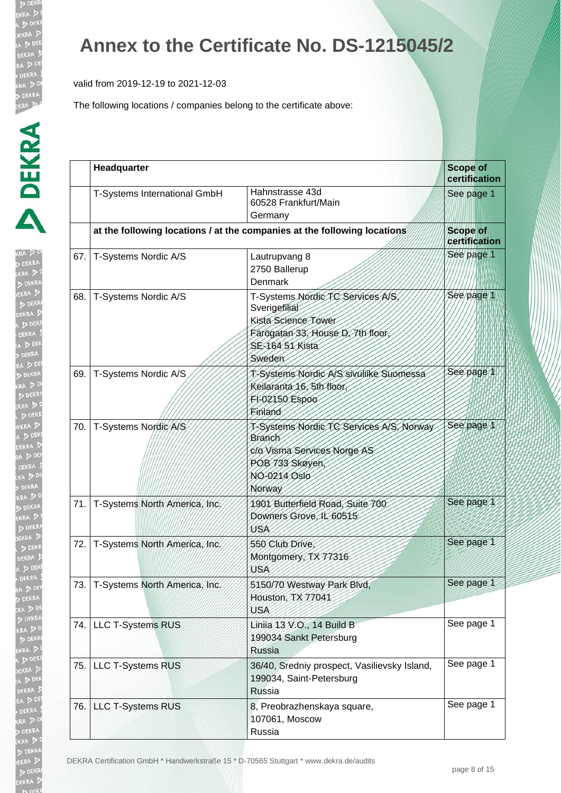valid from 2019-12-19 to 2021-12-03

The following locations / companies belong to the certificate above:

| ľ                   |
|---------------------|
| RA<br>DEI           |
| $\overline{a}$      |
| D                   |
|                     |
|                     |
|                     |
|                     |
|                     |
|                     |
|                     |
|                     |
|                     |
|                     |
|                     |
|                     |
|                     |
|                     |
|                     |
|                     |
|                     |
|                     |
| KR<br>EK!<br>A<br>j |
|                     |
|                     |
|                     |
| Ek<br>A             |
|                     |
|                     |
|                     |
|                     |
|                     |
|                     |
|                     |
|                     |
|                     |
|                     |
|                     |
| ì                   |
|                     |
|                     |
|                     |
|                     |
|                     |
|                     |
|                     |
|                     |
|                     |
| ļ                   |
|                     |
| ρ                   |
|                     |
|                     |
|                     |
|                     |
|                     |
|                     |

|      | Headquarter                   |                                                                                                                                             | <b>Scope of</b><br>certification |
|------|-------------------------------|---------------------------------------------------------------------------------------------------------------------------------------------|----------------------------------|
|      | T-Systems International GmbH  | Hahnstrasse 43d<br>60528 Frankfurt/Main<br>Germany                                                                                          | See page 1                       |
|      |                               | at the following locations / at the companies at the following locations                                                                    | <b>Scope of</b><br>certification |
| 67.  | T-Systems Nordic A/S          | Lautrupvang 8<br>2750 Ballerup<br><b>Denmark</b>                                                                                            | See page 1                       |
| 68.  | T-Systems Nordic A/S          | T-Systems Nordic TC Services A/S,<br>Sverigefilial<br>Kista Science Tower<br>Färögatan 33, House D, 7th floor,<br>SE-164 51 Kista<br>Sweden | See page 1                       |
| 69.  | T-Systems Nordic A/S          | T-Systems Nordic A/S sivuliike Suomessa<br>Keilaranta 16, 5th floor<br>FI-02150 Espoo<br>Finland                                            | See page 1                       |
| 70.  | T-Systems Nordic A/S          | T-Systems Nordic TC Services AIS, Norway<br><b>Branch</b><br>c/o Visma Services Norge AS<br>POB 733 Skøyen<br>NO-0214 Oslo<br>Norway        | See page 1                       |
| 71.1 | T-Systems North America, Inc. | 1901 Butterfield Road, Suite 700<br>Downers Grove, IL 60515<br>USA                                                                          | See page 1                       |
| 72.  | T-Systems North America, Inc. | 550 Club Drive,<br>Montgomery, TX 77316<br>USA                                                                                              | See page 1                       |
| 73.  | T-Systems North America, Inc. | 5150/70 Westway Park Blvd,<br>Houston, TX 77041<br>USA                                                                                      | See page 1                       |
| 74.  | <b>LLC T-Systems RUS</b>      | Liniia 13 V.O., 14 Build B<br>199034 Sankt Petersburg<br><b>Russia</b>                                                                      | See page 1                       |
| 75.  | LLC T-Systems RUS             | 36/40, Sredniy prospect, Vasilievsky Island,<br>199034, Saint-Petersburg<br>Russia                                                          | See page 1                       |
| 76.1 | <b>LLC T-Systems RUS</b>      | 8, Preobrazhenskaya square,<br>107061, Moscow<br>Russia                                                                                     | See page 1                       |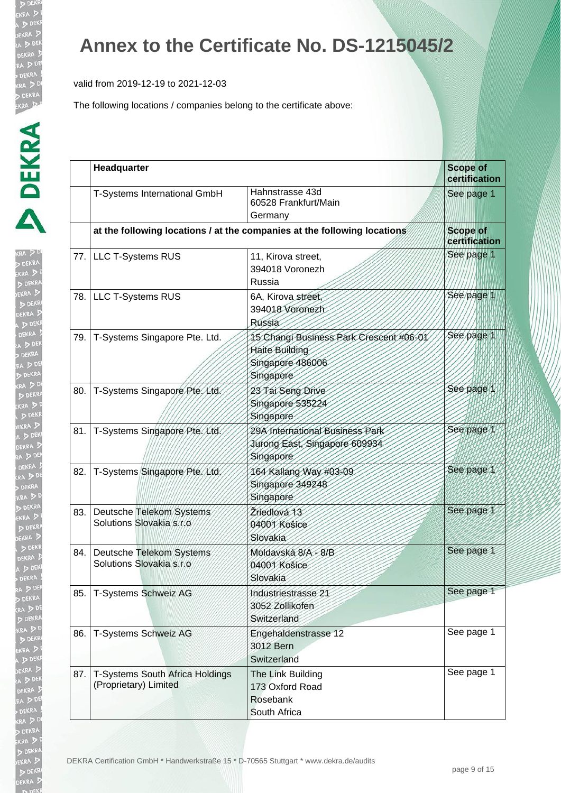valid from 2019-12-19 to 2021-12-03

| ŀ<br>RA |
|---------|
| P       |
|         |
|         |
|         |
|         |
|         |
|         |
|         |
|         |
|         |
|         |
|         |
|         |
|         |
|         |
| 3       |
|         |
|         |
|         |
|         |
|         |
|         |
|         |
|         |
|         |
|         |
|         |
| 3       |
|         |
|         |
|         |
|         |
|         |
|         |
|         |
|         |
|         |
|         |
|         |
|         |
|         |
|         |
|         |
| I       |
|         |
|         |
|         |
|         |
|         |
|         |

|       | Headquarter                                              |                                                                                                   | <b>Scope of</b><br>certification |
|-------|----------------------------------------------------------|---------------------------------------------------------------------------------------------------|----------------------------------|
|       | T-Systems International GmbH                             | Hahnstrasse 43d<br>60528 Frankfurt/Main<br>Germany                                                | See page 1                       |
|       |                                                          | at the following locations / at the companies at the following locations                          | <b>Scope of</b><br>certification |
|       | 77. LLC T-Systems RUS                                    | 11, Kirova street,<br>394018 Voronezh<br>Russia                                                   | See page 1                       |
| 78. l | <b>LLC T-Systems RUS</b>                                 | 6A, Kirova street,<br>394018 Voronezh<br>Russia                                                   | See page 1                       |
| 79. l | T-Systems Singapore Pte. Ltd.                            | 15 Changi Business Park Crescent #06-01<br><b>Haite Building</b><br>Singapore 486006<br>Singapore | See page 1                       |
| 80.   | T-Systems Singapore Pte, Ltd.                            | 23 Tai Seng Drive<br>Singapore 535224<br>Singapore                                                | See page 1                       |
| 81.   | T-Systems Singapore Pte. Ltd.                            | 29A International Business Park<br>Jurong East, Singapore 609934<br>Singapore                     | See page 1                       |
| 82.   | T-Systems Singapore Pte. Ltd.                            | 164 Kallang Way #03-09<br>Singapore 349248<br>Singapore                                           | See page 1                       |
| 83.1  | Deutsche Telekom Systems<br>Solutions Slovakia s.r.o     | Žriedlová 13<br>04001 Košice<br>Slovakia                                                          | See page 1                       |
| 84. l | Deutsche Telekom Systems<br>Solutions Slovakia s.r.o     | Moldavská 8/A - 8/B<br>04001 Košice<br>Slovakia                                                   | See page 1                       |
| 85.   | T-Systems Schweiz AG                                     | Industriestrasse 21<br>3052 Zollikofen<br>Switzerland                                             | See page 1                       |
| 86.   | T-Systems Schweiz AG                                     | Engehaldenstrasse 12<br>3012 Bern<br>Switzerland                                                  | See page 1                       |
| 87.   | T-Systems South Africa Holdings<br>(Proprietary) Limited | The Link Building<br>173 Oxford Road<br>Rosebank<br>South Africa                                  | See page 1                       |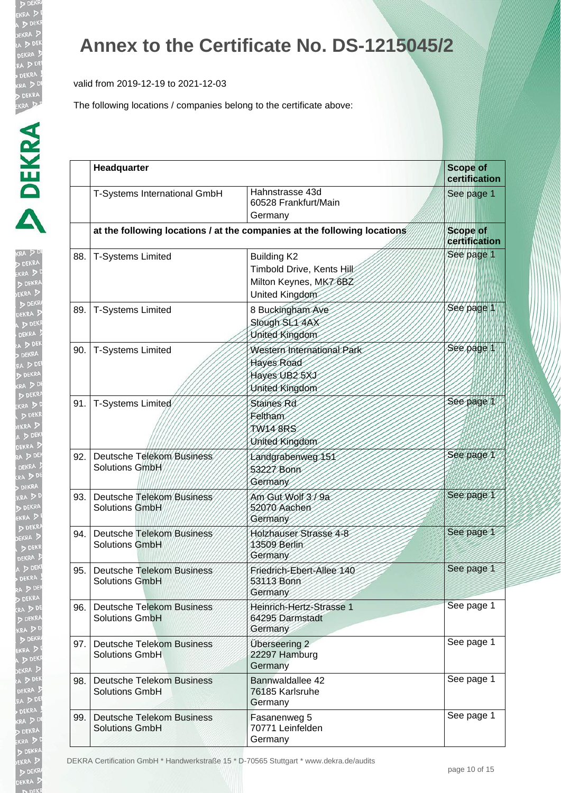valid from 2019-12-19 to 2021-12-03

The following locations / companies belong to the certificate above:

| ı.            |
|---------------|
| $RA$ .        |
| j             |
| 3             |
|               |
| X             |
| K             |
|               |
| $\frac{1}{2}$ |
|               |
|               |
|               |
|               |
|               |
|               |
| ì             |
| ε             |
| ۱             |
| l             |
|               |
|               |
| $\frac{1}{2}$ |
|               |
|               |
|               |
|               |
|               |
|               |
|               |
|               |
|               |
|               |
|               |
|               |
|               |
|               |
|               |
|               |
| ļ             |
| I.            |
|               |
|               |
|               |
|               |
|               |
|               |
|               |
|               |
|               |
|               |
|               |
|               |
|               |
|               |
|               |

|     | Headquarter                                               |                                                                                             | <b>Scope of</b><br>certification |
|-----|-----------------------------------------------------------|---------------------------------------------------------------------------------------------|----------------------------------|
|     | T-Systems International GmbH                              | Hahnstrasse 43d<br>60528 Frankfurt/Main<br>Germany                                          | See page 1                       |
|     |                                                           | at the following locations / at the companies at the following locations                    | <b>Scope of</b><br>certification |
| 88. | <b>T-Systems Limited</b>                                  | <b>Building K2</b><br>Timbold Drive, Kents Hill:<br>Milton Keynes, MK76BZ<br>United Kingdom | See page 1                       |
| 89. | <b>T-Systems Limited</b>                                  | 8 Buckingham Ave<br>Slough SL1 4AX<br>United Kingdom                                        | See page 1                       |
| 90. | <b>T-Systems Limited</b>                                  | Western International Park<br>Hayes Road<br>Hayes UB25XJ<br>United Kingdom                  | See page 1                       |
| 91. | T-Systems Limited                                         | Staines Rd<br>Feltham<br>TW148RS<br>United Kingdom                                          | See page 1                       |
| 92. | Deutsche Telekom Business<br>Solutions GmbH               | Landgrabenweg 151<br>53227 Bonn<br>Germany                                                  | See page 1                       |
| 93. | <b>Deutsche Telekom Business</b><br><b>Solutions GmbH</b> | Am Gut Wolf 3/9a<br>52070 Aachen<br>Germany                                                 | See page 1                       |
| 94. | <b>Deutsche Telekom Business</b><br><b>Solutions GmbH</b> | Holzhauser Strasse 4-8<br>13509 Berlin<br>Germany                                           | See page 1                       |
| 95. | <b>Deutsche Telekom Business</b><br><b>Solutions GmbH</b> | Friedrich-Ebert-Allee 140<br>53113 Bonn<br>Germany                                          | See page 1                       |
| 96. | <b>Deutsche Telekom Business</b><br><b>Solutions GmbH</b> | Heinrich-Hertz-Strasse 1<br>64295 Darmstadt<br>Germany                                      | See page 1                       |
| 97. | <b>Deutsche Telekom Business</b><br><b>Solutions GmbH</b> | Überseering 2<br>22297 Hamburg<br>Germany                                                   | See page 1                       |
| 98. | <b>Deutsche Telekom Business</b><br><b>Solutions GmbH</b> | Bannwaldallee 42<br>76185 Karlsruhe<br>Germany                                              | See page 1                       |
| 99. | <b>Deutsche Telekom Business</b><br><b>Solutions GmbH</b> | Fasanenweg 5<br>70771 Leinfelden<br>Germany                                                 | See page 1                       |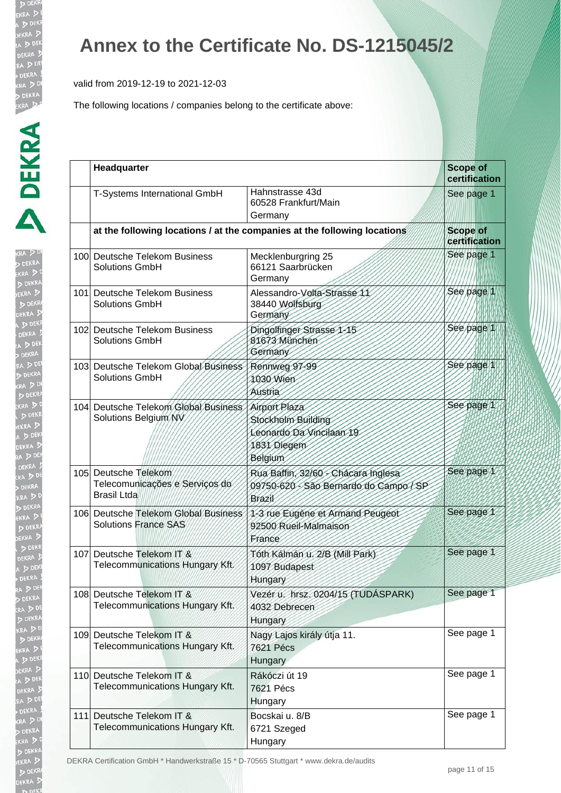valid from 2019-12-19 to 2021-12-03

The following locations / companies belong to the certificate above:

| ŀ<br>KRA<br>RAINEWARE   |
|-------------------------|
|                         |
|                         |
|                         |
|                         |
| k<br>Biografia          |
|                         |
| Ø                       |
| þ                       |
|                         |
| ( S A) K El 、 N A D (   |
| KR<br>EKI<br>A          |
|                         |
|                         |
|                         |
| RA<br>, D (R<br>EK D EK |
|                         |
| $\frac{1}{2}$           |
|                         |
|                         |
|                         |
|                         |
| いいんこう                   |
|                         |
|                         |
|                         |
| l.                      |
|                         |
|                         |
| $\frac{1}{2}$           |
|                         |
|                         |
|                         |
| i                       |
| ļ                       |
|                         |
|                         |
|                         |

| Headquarter                                                                  |                                                                                                | <b>Scope of</b><br>certification |  |
|------------------------------------------------------------------------------|------------------------------------------------------------------------------------------------|----------------------------------|--|
| T-Systems International GmbH                                                 | Hahnstrasse 43d<br>60528 Frankfurt/Main<br>Germany                                             | See page 1                       |  |
|                                                                              | at the following locations / at the companies at the following locations                       | <b>Scope of</b><br>certification |  |
| 100 Deutsche Telekom Business<br>Solutions GmbH                              | Mecklenburgring 25<br>66121 Saarbrücken<br>Germany                                             | See page 1                       |  |
| 101 Deutsche Telekom Business<br><b>Solutions GmbH</b>                       | Alessandro-Volta-Strasse 11<br>38440 Wolfsburg<br>Germany                                      | See page 1                       |  |
| 102 Deutsche Telekom Business<br><b>Solutions GmbH</b>                       | Dingolfinger Strasse 1-15<br>81673 München<br>Germany                                          | See page 1                       |  |
| 103 Deutsche Telekom Global Business<br><b>Solutions GmbH</b>                | Rennweg 97-99<br>1030 Wien<br>Austria                                                          | See page 1                       |  |
| 104 Deutsche Telekom Global Business<br>Solutions Belgium NV                 | Airport Plaza<br>Stockholm Building<br>Leonardo Da Vincilaan 19<br>1831 Diegem<br>Belgium      | See page 1                       |  |
| 105 Deutsche Telekom<br>Telecomunicações e Serviços do<br><b>Brasil Ltda</b> | Rua Baffin, 32/60 - Chacara Inglesa<br>09750-620 - São Bernardo do Campo / SP<br><b>Brazil</b> | See page 1                       |  |
| 106 Deutsche Telekom Global Business<br><b>Solutions France SAS</b>          | 1-3 rue Eugène et Armand Peugeot<br>92500 Rueil-Malmaison<br>France                            | See page 1                       |  |
| 107 Deutsche Telekom IT &<br>Telecommunications Hungary Kft.                 | Tóth Kálmán u. 2/B (Mill Park)<br>1097 Budapest<br>Hungary                                     | See page 1                       |  |
| 108 Deutsche Telekom IT &<br>Telecommunications Hungary Kft.                 | Vezér u. hrsz. 0204/15 (TUDÁSPARK)<br>4032 Debrecen<br>Hungary                                 | See page 1                       |  |
| 109 Deutsche Telekom IT &<br>Telecommunications Hungary Kft.                 | Nagy Lajos király útja 11.<br><b>7621 Pécs</b><br>Hungary                                      | See page 1                       |  |
| 110 Deutsche Telekom IT &<br>Telecommunications Hungary Kft.                 | Rákóczi út 19<br><b>7621 Pécs</b><br>Hungary                                                   | See page 1                       |  |
| 111 Deutsche Telekom IT &<br>Telecommunications Hungary Kft.                 | Bocskai u. 8/B<br>6721 Szeged<br>Hungary                                                       | See page 1                       |  |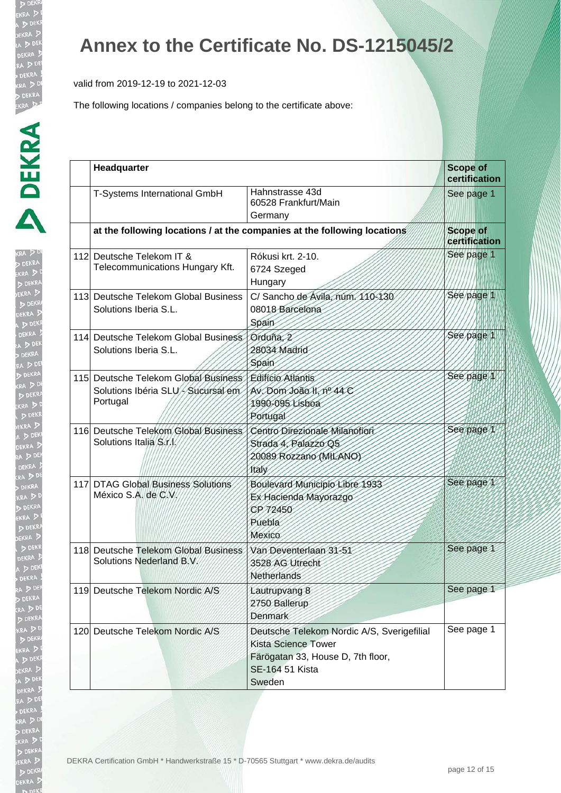valid from 2019-12-19 to 2021-12-03

| ŀ                              |
|--------------------------------|
| kra B<br>Dek                   |
|                                |
|                                |
|                                |
| h:                             |
|                                |
|                                |
|                                |
|                                |
| DEKF<br>A DEK<br>RA D<br>DE    |
|                                |
|                                |
|                                |
| (A D<br>D DEK<br>RA D<br>D DE! |
|                                |
|                                |
|                                |
|                                |
| n D                            |
| EK<br>A                        |
|                                |
|                                |
|                                |
|                                |
|                                |
|                                |
|                                |
|                                |
|                                |
|                                |
|                                |
|                                |
|                                |
|                                |
| K.                             |
|                                |
| Þ                              |
| $\frac{1}{3}$                  |
| ļ                              |
|                                |
| JP                             |
| ì                              |
| ą<br>į                         |
| $\frac{1}{2}$                  |
|                                |
|                                |
|                                |
|                                |

| Headquarter                                                                           |                                                                                                                                            | <b>Scope of</b><br>certification |
|---------------------------------------------------------------------------------------|--------------------------------------------------------------------------------------------------------------------------------------------|----------------------------------|
| T-Systems International GmbH                                                          | Hahnstrasse 43d<br>60528 Frankfurt/Main<br>Germany                                                                                         | See page 1                       |
|                                                                                       | at the following locations / at the companies at the following locations                                                                   | <b>Scope of</b><br>certification |
| 112 Deutsche Telekom IT &<br>Telecommunications Hungary Kft.                          | Rókusi krt. 2-10.<br>6724 Szeged<br>Hungary                                                                                                | See page 1                       |
| 113 Deutsche Telekom Global Business<br>Solutions Iberia S.L.                         | C/ Sancho de Avila, núm. 110-130<br>08018 Barcelona<br>Spain                                                                               | See page 1                       |
| 114 Deutsche Telekom Global Business<br>Solutions Iberia S.L.                         | Orduña. 2<br>28034 Madrid<br>Spain                                                                                                         | See page 1                       |
| 115 Deutsche Telekom Global Business<br>Solutions Ibéria SLU//Sucursal em<br>Portugal | Edifício Atlantis<br>Av. Dom João II, nº 44 C<br>1990-095 Lisboa<br>Portugal                                                               | See page                         |
| 116 Deutsche Telekom Global Business<br>Solutions Italia S/f/                         | Centro Direzionale Milanotiori<br>Strada 4, Palazzo Q5<br>20089 Rozzano (MILANO)<br><i><b>Italy</b></i>                                    | See page 1                       |
| 117 DTAG Global Business Solutions<br>México S.A. de C.V.                             | Boulevard Municipio Libre 1933<br>Ex Hacienda Mayorazgo<br>CP72450<br>Puebla<br>Mexico                                                     | See page 1                       |
| 118 Deutsche Telekom Global Business<br>Solutions Nederland B.V.                      | Van Deventerlaan 31-51<br>3528 AG Utrecht<br>Netherlands                                                                                   | See page 1                       |
| 119 Deutsche Telekom Nordic A/S                                                       | Lautrupvang 8<br>2750 Ballerup<br>Denmark                                                                                                  | See page 1                       |
| 120 Deutsche Telekom Nordic A/S                                                       | Deutsche Telekom Nordic A/S, Sverigefilial<br><b>Kista Science Tower</b><br>Färögatan 33, House D, 7th floor,<br>SE-164 51 Kista<br>Sweden | See page 1                       |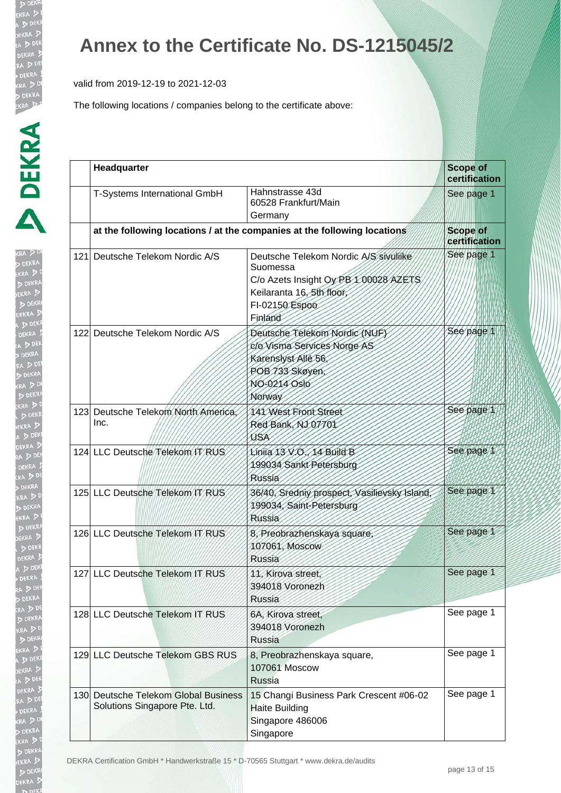valid from 2019-12-19 to 2021-12-03

| ĺ<br>l                         |
|--------------------------------|
|                                |
|                                |
|                                |
| I                              |
| $\frac{1}{2}$<br>$\frac{1}{2}$ |
| j<br><b>D</b><br>EK            |
| j                              |
|                                |
| h                              |
|                                |
| $\frac{1}{2}$                  |
|                                |
| j                              |
| j                              |
| $\sqrt{2}$<br>Ì                |
| ļ<br>J                         |
|                                |
|                                |
|                                |
|                                |
| $\frac{1}{x}$                  |
|                                |
|                                |
|                                |
|                                |
|                                |
|                                |
|                                |
|                                |
|                                |
|                                |
|                                |
|                                |
|                                |
|                                |
|                                |

| Headquarter                                                           |                                                                                                                                                      | <b>Scope of</b><br>certification |
|-----------------------------------------------------------------------|------------------------------------------------------------------------------------------------------------------------------------------------------|----------------------------------|
| T-Systems International GmbH                                          | Hahnstrasse 43d<br>60528 Frankfurt/Main<br>Germany                                                                                                   | See page 1                       |
|                                                                       | at the following locations / at the companies at the following locations                                                                             | <b>Scope of</b><br>certification |
| 121 Deutsche Telekom Nordic A/S                                       | Deutsche Telekom Nordic A/S sivulijke<br>Suomessa<br>C/o Azets Insight Oy PB 1 00028 AZETS<br>Keilaranta 16, 5th floor,<br>FI-02150 Espoo<br>Finland | See page 1                       |
| 122 Deutsche Telekom Nordic A/S                                       | Deutsche Telekom Nordic (NUF)<br>c/o Visma Services Norge AS<br>Karenslyst Allé 56,<br>POB 733 Skøyen,<br>NO-0214 Oslo<br>Norway                     | See page 1                       |
| 123 Deutsche Telekom North America,<br>Inc.                           | 141 West Front Street<br>Red Bank, NJ 07701<br>USA                                                                                                   | See page 1                       |
| 124 LLC Deutsche Telekom IT RUS                                       | Linija 13 V.O., 14 Build B<br>199034 Sankt Petersburg<br>Russia                                                                                      | See page 1                       |
| 125 LLC Deutsche Telekom IT RUS                                       | 36/40, Sredniy prospect, Vasilievsky Island,<br>199034, Saint-Petersburg<br>Russia                                                                   | See page 1                       |
| 126 LLC Deutsche Telekom IT RUS                                       | 8, Preobrazhenskaya square,<br>107061, Moscow<br>Russia                                                                                              | See page 1                       |
| 127 LLC Deutsche Telekom IT RUS                                       | 11, Kirova street,<br>394018 Voronezh<br><b>Russia</b>                                                                                               | See page 1                       |
| 128 LLC Deutsche Telekom IT RUS                                       | 6A, Kirova street,<br>394018 Voronezh<br><b>Russia</b>                                                                                               | See page 1                       |
| 129 LLC Deutsche Telekom GBS RUS                                      | 8, Preobrazhenskaya square,<br>107061 Moscow<br><b>Russia</b>                                                                                        | See page 1                       |
| 130 Deutsche Telekom Global Business<br>Solutions Singapore Pte. Ltd. | 15 Changi Business Park Crescent #06-02<br><b>Haite Building</b><br>Singapore 486006<br>Singapore                                                    | See page 1                       |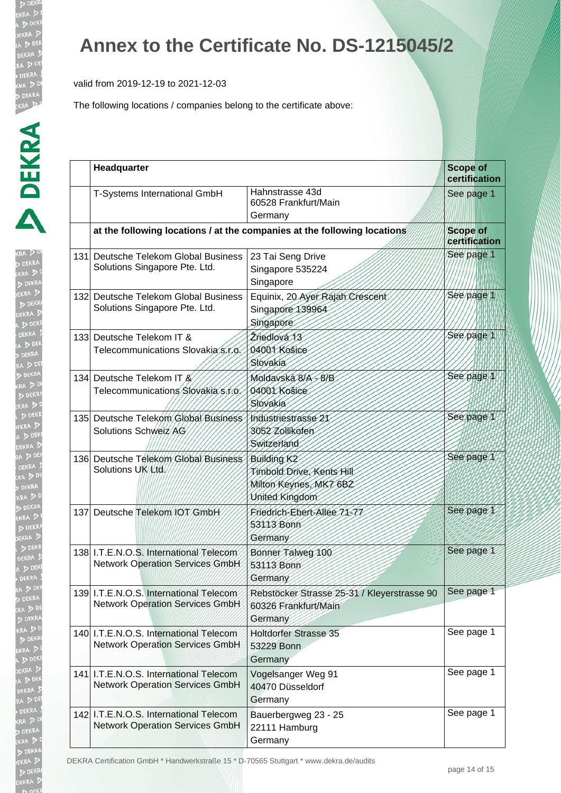valid from 2019-12-19 to 2021-12-03

The following locations / companies belong to the certificate above:

| ŀ<br>KRA . |  |
|------------|--|
|            |  |
|            |  |
|            |  |
|            |  |
| l          |  |
|            |  |
| j          |  |
|            |  |
|            |  |
|            |  |
|            |  |
|            |  |
| ì          |  |
|            |  |
|            |  |
|            |  |
|            |  |
| ĺ          |  |
|            |  |
|            |  |
|            |  |
|            |  |
|            |  |
|            |  |
|            |  |
|            |  |
|            |  |
| ī<br>ı     |  |
|            |  |
|            |  |
|            |  |
| ļ          |  |
|            |  |
|            |  |
|            |  |
|            |  |
| ļ<br>l     |  |
| ļ<br>١     |  |

| Headquarter                                                                      |                                                                                             | <b>Scope of</b><br>certification |
|----------------------------------------------------------------------------------|---------------------------------------------------------------------------------------------|----------------------------------|
| T-Systems International GmbH                                                     | Hahnstrasse 43d<br>60528 Frankfurt/Main<br>Germany                                          | See page 1                       |
|                                                                                  | at the following locations / at the companies at the following locations                    | <b>Scope of</b><br>certification |
| 131 Deutsche Telekom Global Business<br>Solutions Singapore Pte. Ltd.            | 23 Tai Seng Drive<br>Singapore 535224<br>Singapore                                          | See page 1                       |
| 132 Deutsche Telekom Global Business<br>Solutions Singapore Pte. Ltd.            | Equinix, 20 Ayer Rajah Crescent<br>Singapore 139964<br>Singapore                            | See page 1                       |
| 133 Deutsche Telekom IT &<br>Telecommunications Slovakia s.r.o.                  | Žriedlová 13<br>04001 Košice<br>Slovakia                                                    | See page 1                       |
| 134 Deutsche Telekom IT &<br>Telecommunications Slovakia s.f.o.                  | Moldavská 8/A - 8/B<br>04001 Košice<br>Slovakia                                             | See page 1                       |
| 135 Deutsche Telekom Global Business<br>Solutions Schweiz AG                     | Industriestrasse 21<br>3052 Zollikofen<br>Switzerland                                       | See page 1                       |
| 136 Deutsche Telekom Global Business<br>Solutions UK Ltd.                        | <b>Building K2</b><br>Timbold Drive, Kents Hill<br>Milton Keynes, MK7 6BZ<br>United Kingdom | See page 1                       |
| 137 Deutsche Telekom IOT GmbH                                                    | Friedrich-Ebert-Allee 71-77<br>53113 Bonn<br>Germany                                        | See page 1                       |
| 138 I.T.E.N.O.S. International Telecom<br><b>Network Operation Services GmbH</b> | Bonner Talweg 100<br>53113 Bonn<br>Germany                                                  | See page 1                       |
| 139 I.T.E.N.O.S. International Telecom<br><b>Network Operation Services GmbH</b> | Rebstöcker Strasse 25-31 / Kleyerstrasse 90<br>60326 Frankfurt/Main<br>Germany              | See page 1                       |
| 140 I.T.E.N.O.S. International Telecom<br><b>Network Operation Services GmbH</b> | <b>Holtdorfer Strasse 35</b><br>53229 Bonn<br>Germany                                       | See page 1                       |
| 141 I.T.E.N.O.S. International Telecom<br><b>Network Operation Services GmbH</b> | Vogelsanger Weg 91<br>40470 Düsseldorf<br>Germany                                           | See page 1                       |
| 142 I.T.E.N.O.S. International Telecom<br><b>Network Operation Services GmbH</b> | Bauerbergweg 23 - 25<br>22111 Hamburg<br>Germany                                            | See page 1                       |